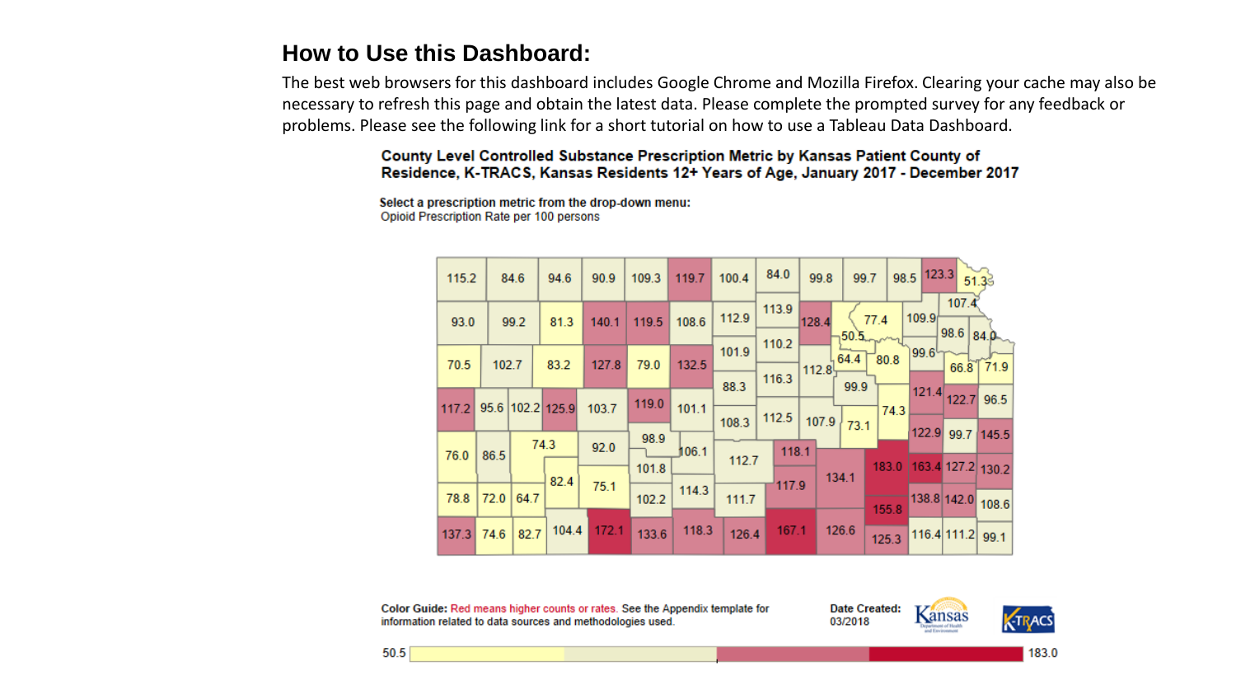#### **How to Use this Dashboard:**

The best web browsers for this dashboard includes Google Chrome and Mozilla Firefox. Clearing your cache may also be necessary to refresh this page and obtain the latest data. Please complete the prompted survey for any feedback or problems. Please see the following link for a short tutorial on how to use a Tableau Data Dashboard.

> County Level Controlled Substance Prescription Metric by Kansas Patient County of Residence, K-TRACS, Kansas Residents 12+ Years of Age, January 2017 - December 2017

Select a prescription metric from the drop-down menu: Opioid Prescription Rate per 100 persons

| 115.2 |       | 84.6         | 94.6             | 90.9  | 109.3 | 119.7 | 100.4 | 84.0           | 99.8            | 99.7  |                                        | 98.5 123.3 51.39 |             |                         |  |
|-------|-------|--------------|------------------|-------|-------|-------|-------|----------------|-----------------|-------|----------------------------------------|------------------|-------------|-------------------------|--|
| 93.0  |       | 99.2<br>81.3 |                  | 140.1 | 119.5 | 108.6 | 112.9 | 113.9          | 128.4           | 50.5  | 107.4<br>109.9<br>77.4<br>98.6<br>84.0 |                  |             |                         |  |
| 70.5  | 102.7 |              | 83.2             | 127.8 | 79.0  | 132.5 | 101.9 | 110.2          | , 64.4<br>112.8 |       | 99.6<br>80.8<br>66.8                   |                  | 71.9        |                         |  |
| 117.2 |       |              | 95.6 102.2 125.9 | 103.7 | 119.0 | 101.1 | 88.3  | 116.3          |                 | 99.9  | 74.3                                   | 121.4            |             | 122.7 96.5              |  |
| 76.0  | 86.5  |              | 74.3             | 92.0  | 98.9  | 106.1 | 108.3 | 112.5<br>118.1 | 107.9           | 73.1  |                                        | 122.9            | 99.7        | 145.5                   |  |
|       |       |              | 82.4             | 75.1  | 101.8 | 114.3 | 112.7 |                |                 | 134.1 |                                        |                  |             | 183.0 163.4 127.2 130.2 |  |
| 78.8  | 72.0  | 64.7         |                  |       | 102.2 |       | 111.7 | 117.9          |                 |       | 155.8                                  |                  |             | 138.8 142.0 108.6       |  |
| 137.3 | 74.6  | 82.7         | 104.4            | 172.1 | 133.6 | 118.3 | 126.4 | 167.1          |                 | 126.6 | 125.3                                  |                  | 116.4 111.2 | 99.1                    |  |

Color Guide: Red means higher counts or rates. See the Appendix template for information related to data sources and methodologies used.

Date Created: 03/2018

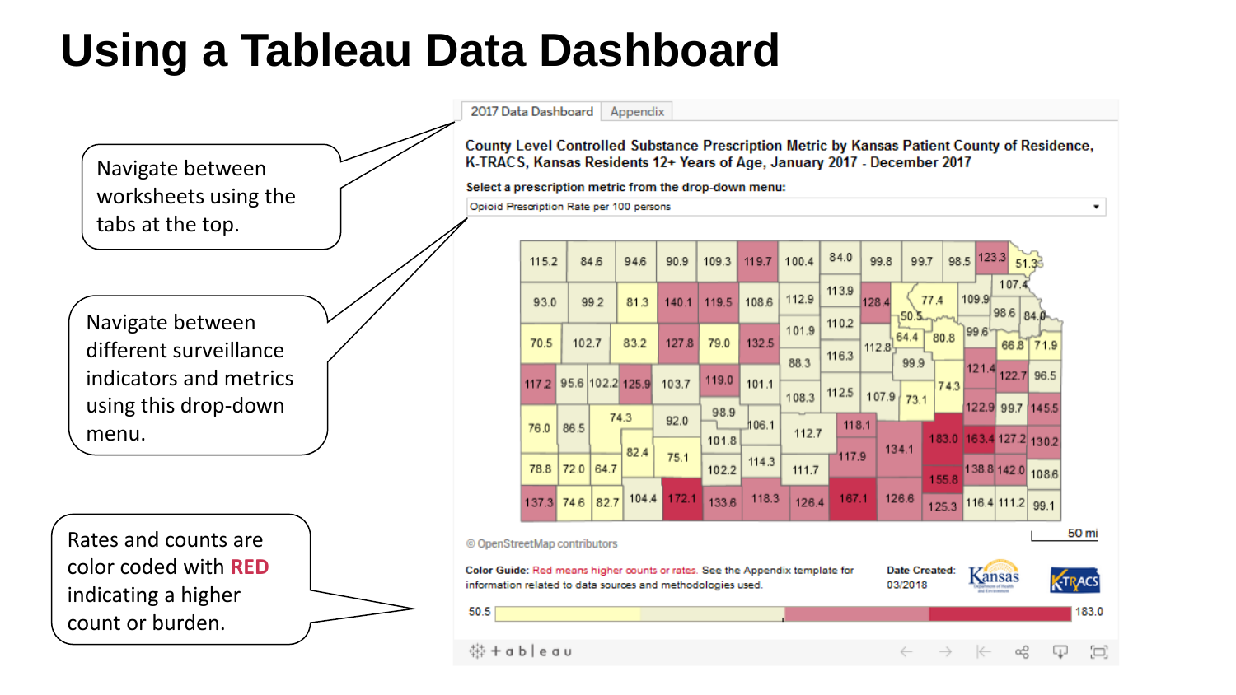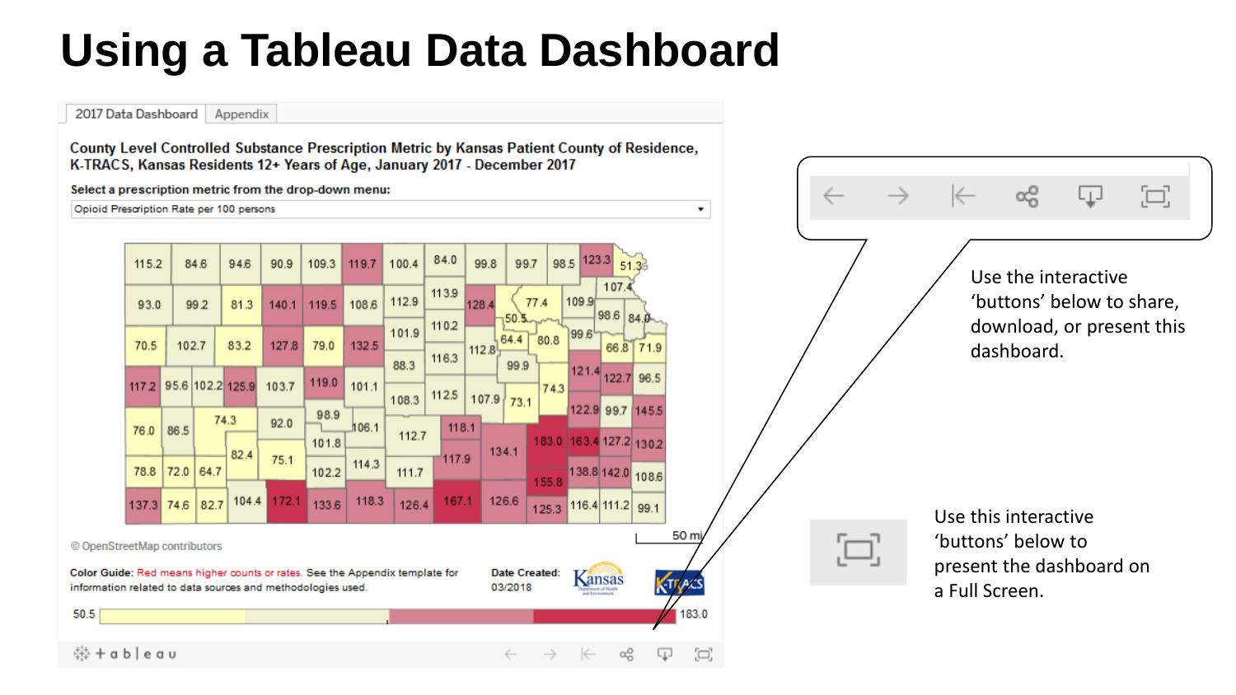2017 Data Dashboard | Appendix

County Level Controlled Substance Prescription Metric by Kansas Patient County of Residence, K-TRACS, Kansas Residents 12+ Years of Age, January 2017 - December 2017

Select a prescription metric from the drop-down menu:

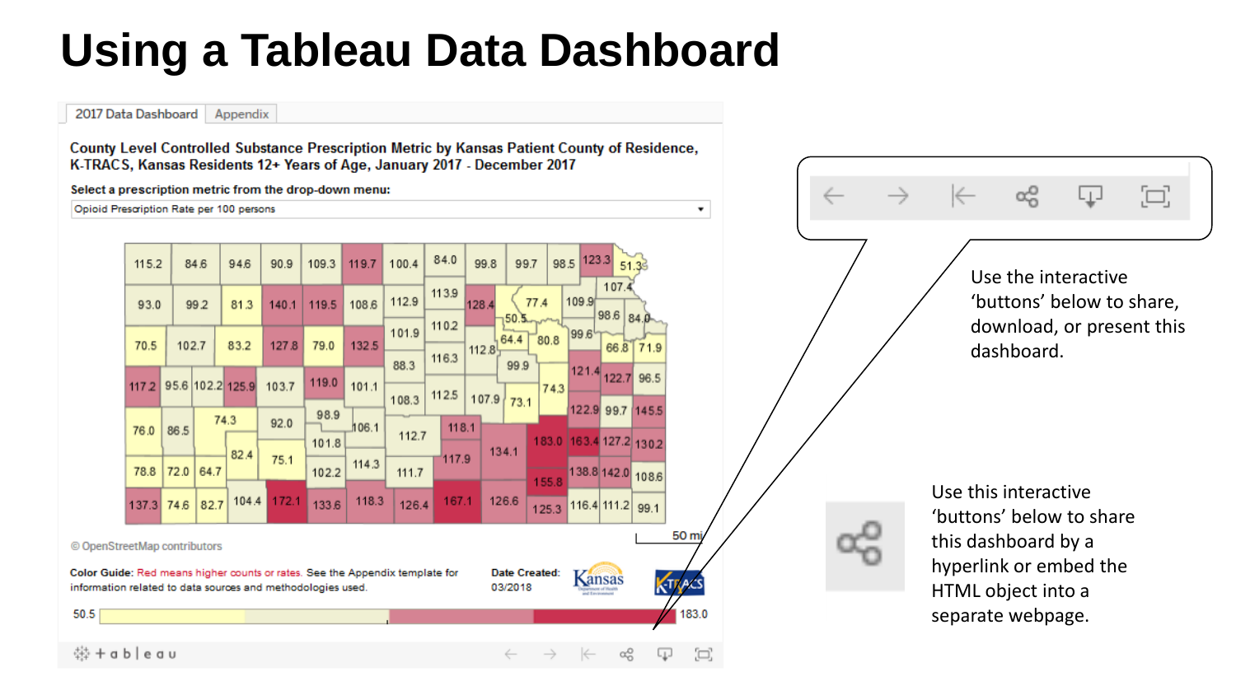2017 Data Dashboard | Appendix

County Level Controlled Substance Prescription Metric by Kansas Patient County of Residence, K-TRACS, Kansas Residents 12+ Years of Age, January 2017 - December 2017

Select a prescription metric from the drop-down menu:

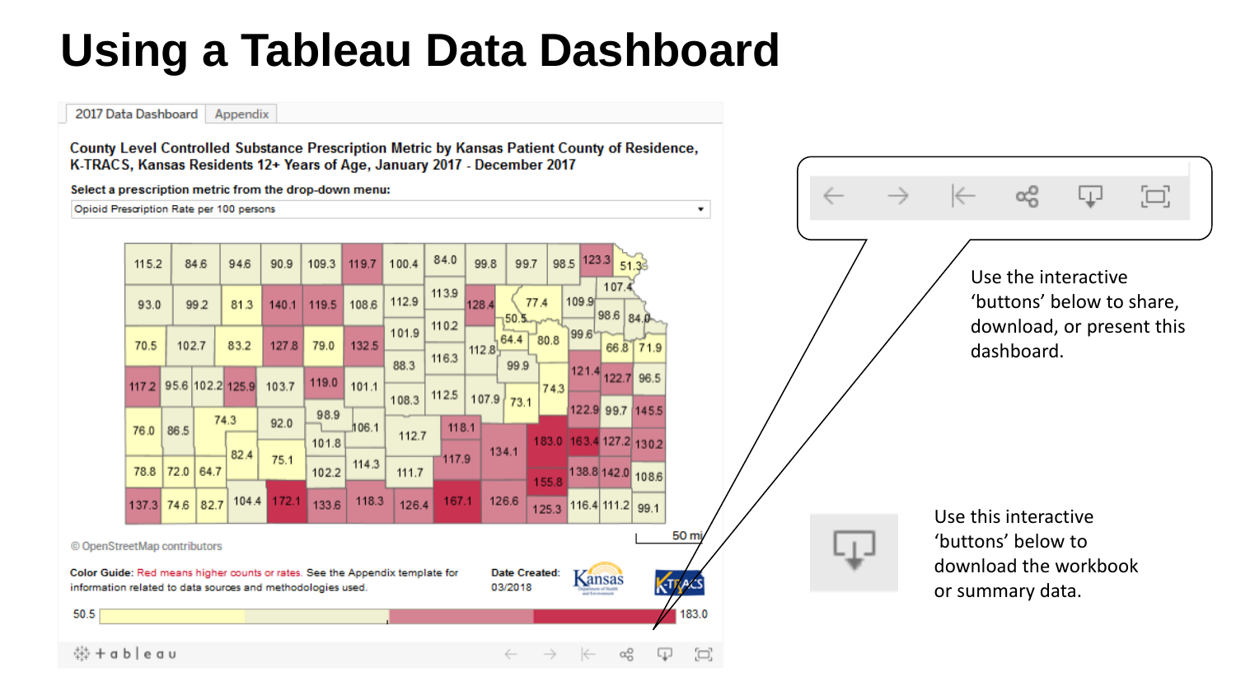2017 Data Dashboard | Appendix

County Level Controlled Substance Prescription Metric by Kansas Patient County of Residence, K-TRACS, Kansas Residents 12+ Years of Age, January 2017 - December 2017

Select a prescription metric from the drop-down menu:

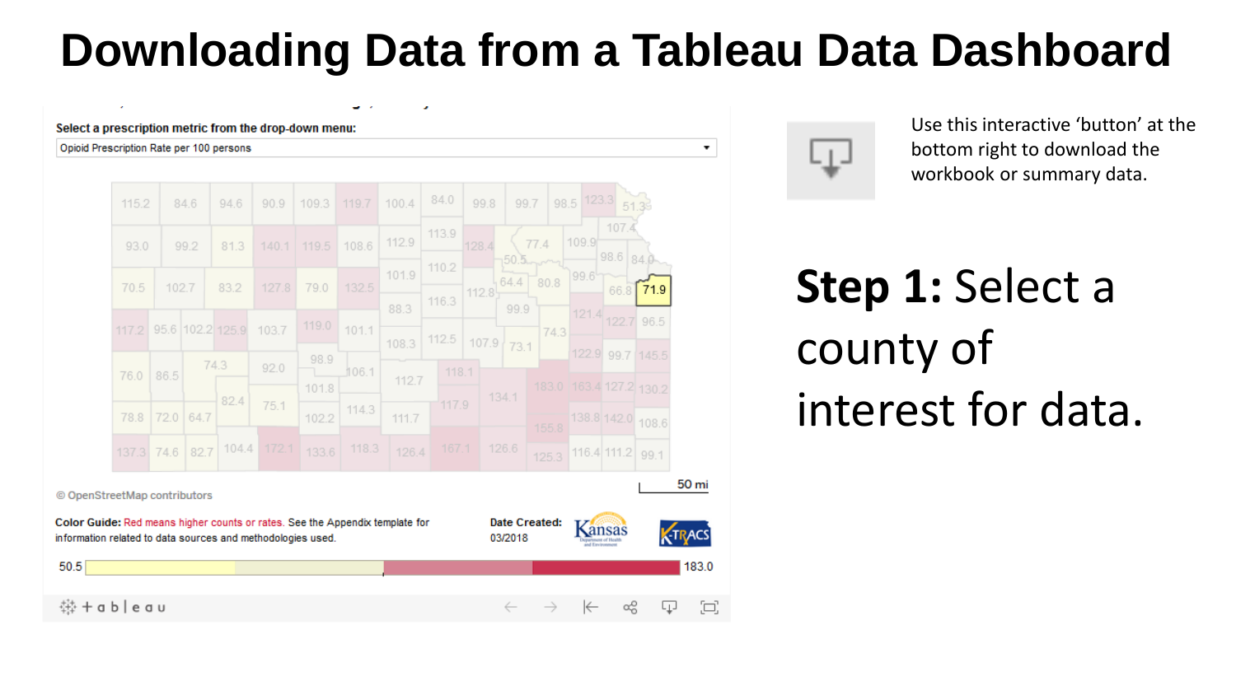### **Downloading Data from a Tableau Data Dashboard**

 $\bullet$ 

#### Select a prescription metric from the drop-down menu:

#### Opioid Prescription Rate per 100 persons





Use this interactive 'button' at the bottom right to download the workbook or summary data.

# **Step 1:** Select a county of interest for data.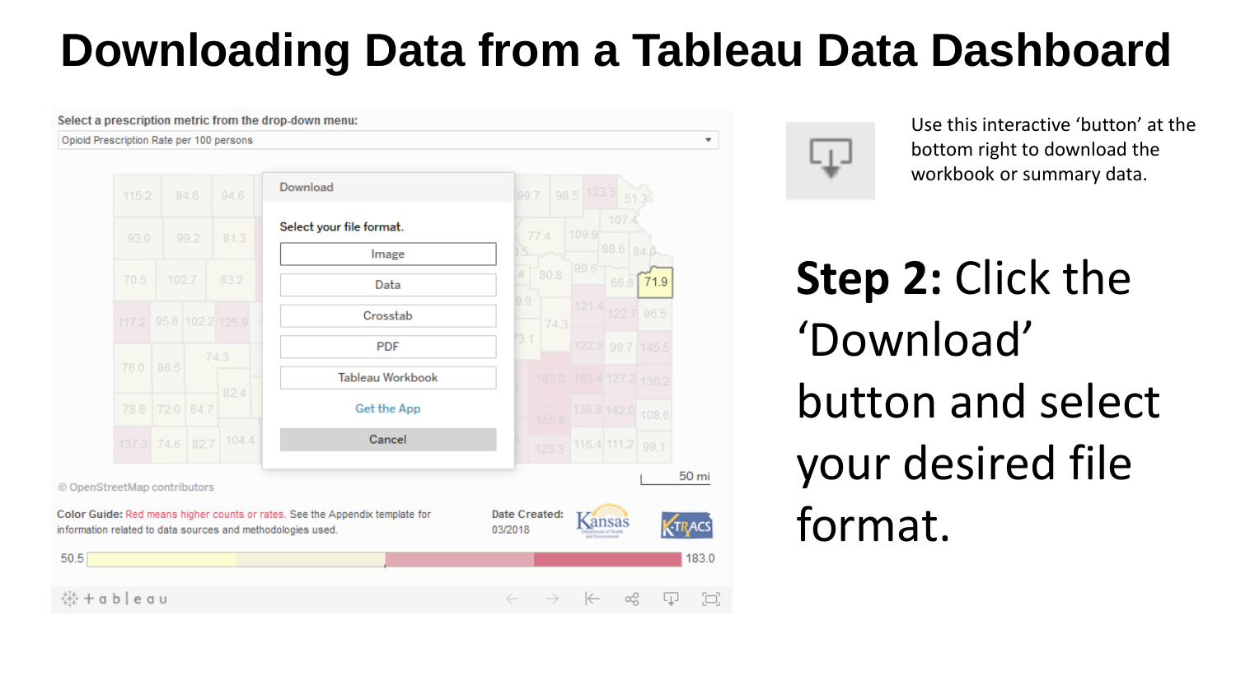## **Downloading Data from a Tableau Data Dashboard**

 $\overline{\mathbf{v}}$ 

Select a prescription metric from the drop-down menu:

#### Opioid Prescription Rate per 100 persons





Use this interactive 'button' at the bottom right to download the workbook or summary data.

# **Step 2:** Click the 'Download' button and select your desired file format.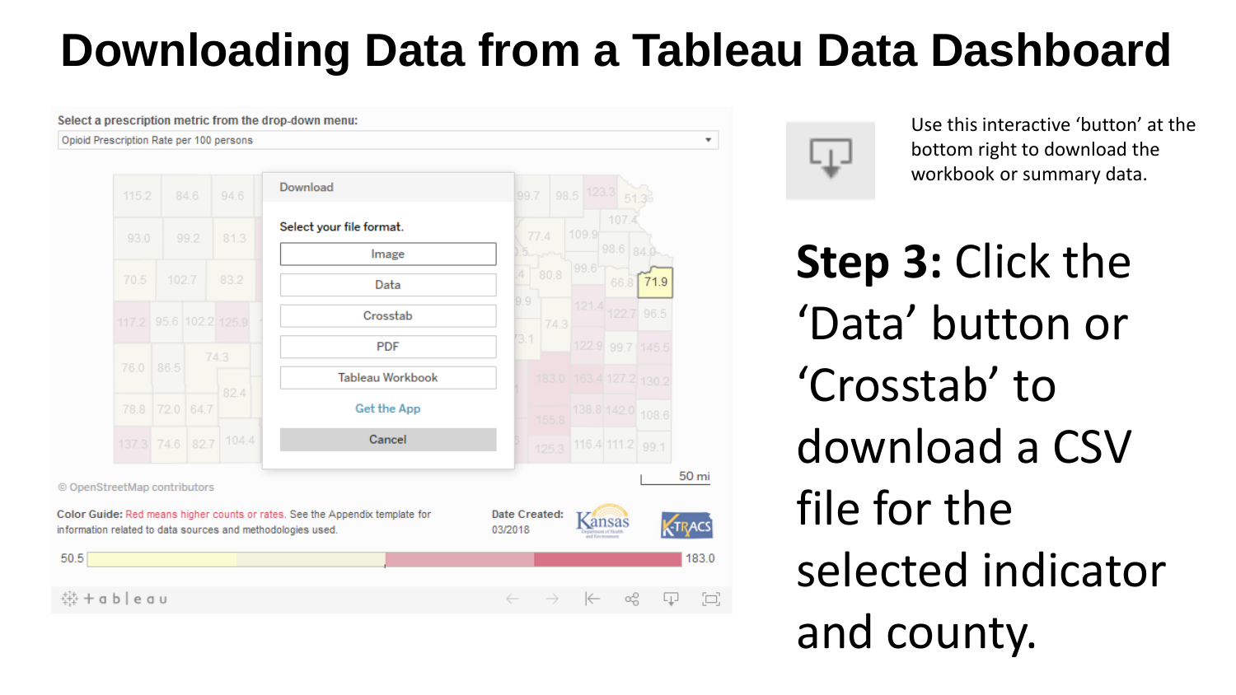## **Downloading Data from a Tableau Data Dashboard**

 $\overline{\mathbf{v}}$ 

Select a prescription metric from the drop-down menu:

#### Opioid Prescription Rate per 100 persons





Use this interactive 'button' at the bottom right to download the workbook or summary data.

**Step 3:** Click the 'Data' button or 'Crosstab' to download a CSV file for the selected indicator and county.